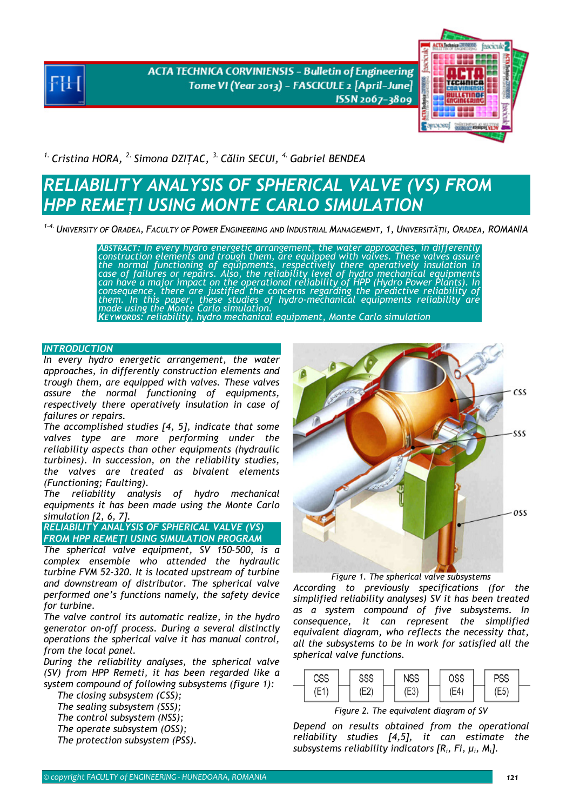**ACTA TECHNICA CORVINIENSIS - Bulletin of Engineering** Tome VI (Year 2013) - FASCICULE 2 [April-June] ISSN 2067-3809



*1. Cristina HORA, 2. Simona DZIŢAC, 3. Călin SECUI, 4. Gabriel BENDEA* 

## *RELIABILITY ANALYSIS OF SPHERICAL VALVE (VS) FROM HPP REMEŢI USING MONTE CARLO SIMULATION*

*1-4.UNIVERSITY OF ORADEA, FACULTY OF POWER ENGINEERING AND INDUSTRIAL MANAGEMENT, 1, UNIVERSITĂŢII, ORADEA, ROMANIA* 

*ABSTRACT: In every hydro energetic arrangement, the water approaches, in differently construction elements and trough them, are equipped with valves. These valves assure the normal functioning of equipments, respectively there operatively insulation in case of failures or repairs. Also, the reliability level of hydro mechanical equipments*  can have a major impact on the operational reliability of HPP (Hydro Power Plants). In<br>consequence, there are justified the concerns regarding the predictive reliability of *them. In this paper, these studies of hydro-mechanical equipments reliability are made using the Monte Carlo simulation. KEYWORDS: reliability, hydro mechanical equipment, Monte Carlo simulation* 

## *INTRODUCTION*

*In every hydro energetic arrangement, the water approaches, in differently construction elements and trough them, are equipped with valves. These valves assure the normal functioning of equipments, respectively there operatively insulation in case of failures or repairs.* 

*The accomplished studies [4, 5], indicate that some valves type are more performing under the reliability aspects than other equipments (hydraulic turbines). In succession, on the reliability studies, the valves are treated as bivalent elements (Functioning; Faulting).* 

*The reliability analysis of hydro mechanical equipments it has been made using the Monte Carlo simulation [2, 6, 7].* 

*RELIABILITY ANALYSIS OF SPHERICAL VALVE (VS) FROM HPP REMEŢI USING SIMULATION PROGRAM* 

*The spherical valve equipment, SV 150-500, is a complex ensemble who attended the hydraulic turbine FVM 52-320. It is located upstream of turbine and downstream of distributor. The spherical valve performed one's functions namely, the safety device for turbine.* 

*The valve control its automatic realize, in the hydro generator on-off process. During a several distinctly operations the spherical valve it has manual control, from the local panel.* 

*During the reliability analyses, the spherical valve (SV) from HPP Remeti, it has been regarded like a system compound of following subsystems (figure 1):* 

*The closing subsystem (CSS);* 

*The sealing subsystem (SSS);* 

*The control subsystem (NSS);* 

 *The operate subsystem (OSS); The protection subsystem (PSS).* 



*Figure 1. The spherical valve subsystems According to previously specifications (for the simplified reliability analyses) SV it has been treated as a system compound of five subsystems. In consequence, it can represent the simplified equivalent diagram, who reflects the necessity that, all the subsystems to be in work for satisfied all the spherical valve functions.* 



*Figure 2. The equivalent diagram of SV* 

*Depend on results obtained from the operational reliability studies [4,5], it can estimate the subsystems reliability indicators [Ri, Fi, µi, Mi].*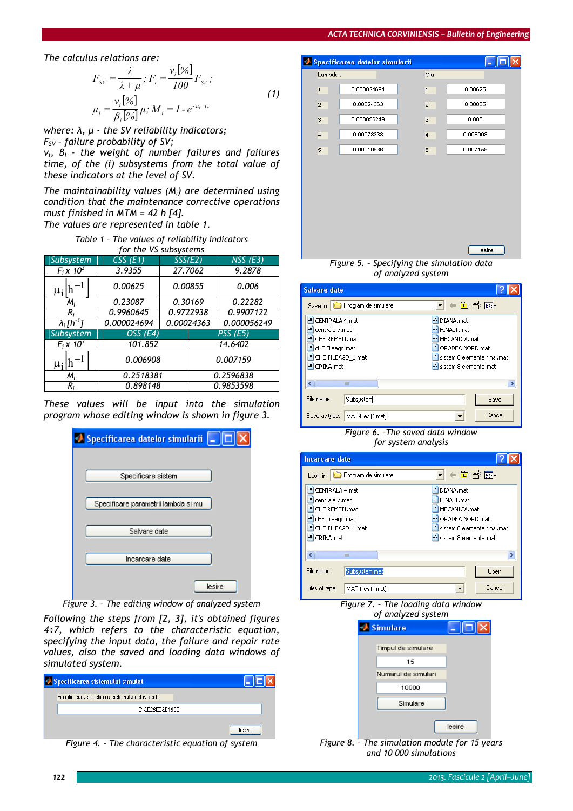## *ACTA TECHNICA CORVINIENSIS – Bulletin of Engineering*

*The calculus relations are:* 

$$
F_{SV} = \frac{\lambda}{\lambda + \mu}; F_i = \frac{v_i[96]}{100} F_{SV};
$$
  

$$
\mu_i = \frac{v_i[96]}{\beta_i[96]} \mu; M_i = 1 - e^{-\mu_i t_r}
$$
 (1)

*where: λ, µ - the SV reliability indicators; FSV – failure probability of SV;* 

*νi, βi – the weight of number failures and failures time, of the (i) subsystems from the total value of these indicators at the level of SV.* 

*The maintainability values (Mi) are determined using condition that the maintenance corrective operations must finished in MTM = 42 h [4]. The values are represented in table 1.* 

*Table 1 – The values of reliability indicators for the VS subsystems* 

| Subsystem                      | CSS(E1)             | SSSE(E2) |            | $NSS$ (E3)      |
|--------------------------------|---------------------|----------|------------|-----------------|
| $F_i \times 10^3$              | 3.9355              |          | 27.7062    | 9.2878          |
| $\mu_i$  n                     | 0.00625             |          | 0.00855    | 0.006           |
| $M_i$                          | 0.23087             |          | 0.30169    | 0.22282         |
| R,                             | 0.9960645           |          | 0.9722938  | 0.9907122       |
| $\lambda_i$ [h <sup>-1</sup> ] | 0.000024694         |          | 0.00024363 | 0.000056249     |
| Subsystem                      | OSS <sub>(E4)</sub> |          |            | <b>PSS (E5)</b> |
| $F_i \times 10^3$              | 101.852             |          |            | 14.6402         |
| μ;                             | 0.006908            |          | 0.007159   |                 |
| $M_i$                          | 0.2518381           |          |            | 0.2596838       |
| R,                             | 0.898148            |          |            | 0.9853598       |

*These values will be input into the simulation program whose editing window is shown in figure 3.* 

| ● Specificarea datelor simularii   _   □ |
|------------------------------------------|
|                                          |
| Specificare sistem                       |
|                                          |
| Specificare parametrii lambda si mu      |
|                                          |
| Salvare date                             |
| Incarcare date                           |
| lesire                                   |

*Figure 3. – The editing window of analyzed system* 

*Following the steps from [2, 3], it's obtained figures 4÷7, which refers to the characteristic equation, specifying the input data, the failure and repair rate values, also the saved and loading data windows of simulated system.* 

| Specificarea sistemului simulat                |        |
|------------------------------------------------|--------|
| Ecuatia caracteristica a sistemului echivalent |        |
| E18E28E38E48E5                                 |        |
|                                                | lesire |

*Figure 4. – The characteristic equation of system* 





| <b>Salvare date</b>                                                                                                 |                              |                                                                                                                                                                |
|---------------------------------------------------------------------------------------------------------------------|------------------------------|----------------------------------------------------------------------------------------------------------------------------------------------------------------|
|                                                                                                                     | Save in: Program de simulare | 白び囲                                                                                                                                                            |
| CENTRALA 4.mat<br>centrala 7.mat<br>CHE REMETI.mat<br>cHE Tileagd.mat<br>JL.<br>CHE TILEAGD_1.mat<br>h<br>CRINA.mat |                              | DIANA.mat<br>J,<br><b>A</b> FINALT.mat<br>MECANICA.mat<br><sup>4</sup> ORADEA NORD, mat<br>sistem 8 elemente final.mat<br><mark>고</mark> sistem 8 elemente.mat |
|                                                                                                                     | ШI                           |                                                                                                                                                                |
| File name:                                                                                                          | Subsystem                    | Save                                                                                                                                                           |
| Save as type:                                                                                                       | MAT-files [".mat]            | Cancel                                                                                                                                                         |

*Figure 6. –The saved data window for system analysis* 

| <b>Incarcare date</b>                                                                                                 |                                                                                                                                                 |  |
|-----------------------------------------------------------------------------------------------------------------------|-------------------------------------------------------------------------------------------------------------------------------------------------|--|
| Look in: <b>D</b> Program de simulare                                                                                 | ←®ant                                                                                                                                           |  |
| CENTRALA 4.mat<br>centrala 7.mat<br>CHE REMETI.mat<br>cHE Tileagd.mat<br>CHE TILEAGD 1.mat<br><sup>-1</sup> CRINA.mat | DIANA.mat<br><sup>-4</sup> FINALT.mat<br><mark>≞</mark> MECANICA.mat<br>ORADEA NORD.mat<br>sistem 8 elemente final.mat<br>sistem 8 elemente.mat |  |
| ≮∣<br>Ш                                                                                                               |                                                                                                                                                 |  |
| File name:<br>Subsystem.mat<br>Files of type:<br>MAT-files (".mat)                                                    | Open<br>Cancel                                                                                                                                  |  |



| <u>uliandred system</u> |        |
|-------------------------|--------|
| Simulare                |        |
| Timpul de simulare      |        |
| 15                      |        |
| Numarul de simulari     |        |
| 10000                   |        |
| Simulare                |        |
|                         | lesire |
|                         |        |

*Figure 8. – The simulation module for 15 years and 10 000 simulations*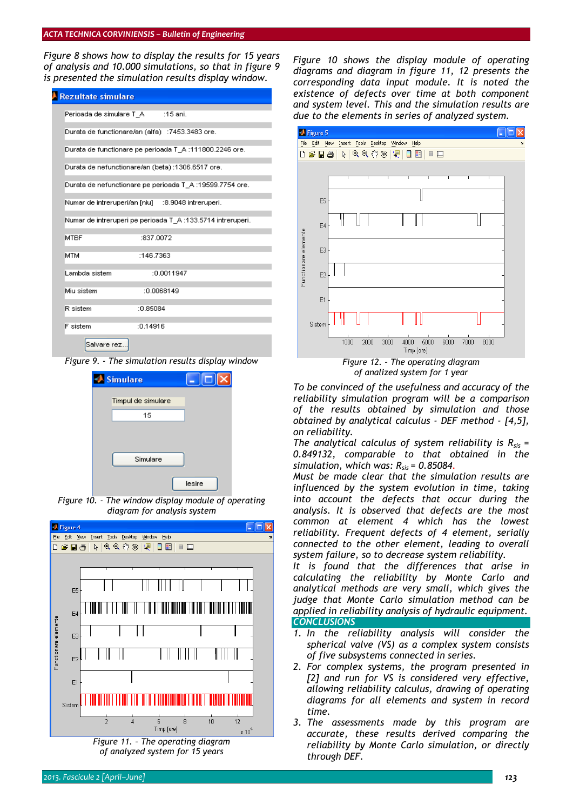*Figure 8 shows how to display the results for 15 years of analysis and 10.000 simulations, so that in figure 9 is presented the simulation results display window.* 

| <b>Rezultate simulare</b>                         |                                                             |  |
|---------------------------------------------------|-------------------------------------------------------------|--|
| Perioada de simulare T_A :15 ani.                 |                                                             |  |
|                                                   | Durata de functionare/an (alfa) : 7453.3483 ore.            |  |
|                                                   | Durata de functionare pe perioada T_A :111800.2246 ore.     |  |
| Durata de nefunctionare/an (beta) :1306.6517 ore. |                                                             |  |
|                                                   | Durata de nefunctionare pe perioada T A :19599.7754 ore.    |  |
|                                                   | Numar de intreruperi/an [niu] : 8.9048 intreruperi.         |  |
|                                                   | Numar de intreruperi pe perioada T A :133.5714 intreruperi. |  |
| MTBF                                              | :837.0072                                                   |  |
| <b>MTM</b>                                        | :146.7363                                                   |  |
| Lambda sistem                                     | :0.0011947                                                  |  |
| Miu sistem                                        | :0.0068149                                                  |  |
| R sistem                                          | :0.85084                                                    |  |
| <b>F</b> sistem                                   | :0.14916                                                    |  |
| Salvare rez.                                      |                                                             |  |

*Figure 9. - The simulation results display window*



*Figure 10. - The window display module of operating diagram for analysis system* 



*of analyzed system for 15 years* 

*Figure 10 shows the display module of operating diagrams and diagram in figure 11, 12 presents the corresponding data input module. It is noted the existence of defects over time at both component and system level. This and the simulation results are due to the elements in series of analyzed system.* 



*To be convinced of the usefulness and accuracy of the reliability simulation program will be a comparison of the results obtained by simulation and those obtained by analytical calculus - DEF method - [4,5], on reliability.* 

The analytical calculus of system reliability is R<sub>sis</sub> = *0.849132, comparable to that obtained in the simulation, which was: Rsis = 0.85084.* 

*Must be made clear that the simulation results are influenced by the system evolution in time, taking into account the defects that occur during the analysis. It is observed that defects are the most common at element 4 which has the lowest reliability. Frequent defects of 4 element, serially connected to the other element, leading to overall system failure, so to decrease system reliability.*

*It is found that the differences that arise in calculating the reliability by Monte Carlo and analytical methods are very small, which gives the judge that Monte Carlo simulation method can be applied in reliability analysis of hydraulic equipment. CONCLUSIONS* 

- *1. In the reliability analysis will consider the spherical valve (VS) as a complex system consists of five subsystems connected in series.*
- *2. For complex systems, the program presented in [2] and run for VS is considered very effective, allowing reliability calculus, drawing of operating diagrams for all elements and system in record time.*
- *3. The assessments made by this program are accurate, these results derived comparing the reliability by Monte Carlo simulation, or directly through DEF.*